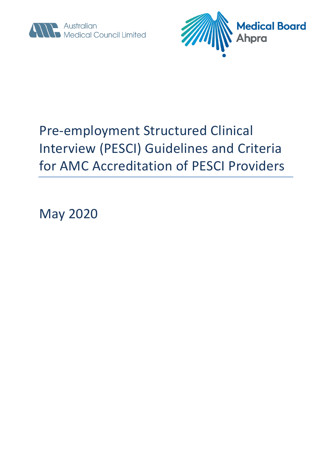



# Pre-employment Structured Clinical Interview (PESCI) Guidelines and Criteria for AMC Accreditation of PESCI Providers

May 2020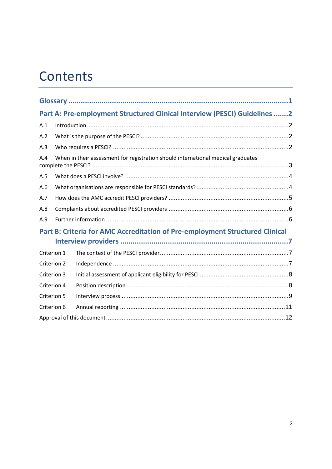# **Contents**

| Part A: Pre-employment Structured Clinical Interview (PESCI) Guidelines 2               |  |  |  |
|-----------------------------------------------------------------------------------------|--|--|--|
| A.1                                                                                     |  |  |  |
| A.2                                                                                     |  |  |  |
| A.3                                                                                     |  |  |  |
| When in their assessment for registration should international medical graduates<br>A.4 |  |  |  |
| A.5                                                                                     |  |  |  |
| A.6                                                                                     |  |  |  |
| A.7                                                                                     |  |  |  |
| A.8                                                                                     |  |  |  |
| A.9                                                                                     |  |  |  |
| Part B: Criteria for AMC Accreditation of Pre-employment Structured Clinical            |  |  |  |
| Criterion 1                                                                             |  |  |  |
| Criterion 2                                                                             |  |  |  |
| Criterion 3                                                                             |  |  |  |
| Criterion 4                                                                             |  |  |  |
| Criterion 5                                                                             |  |  |  |
| Criterion 6                                                                             |  |  |  |
|                                                                                         |  |  |  |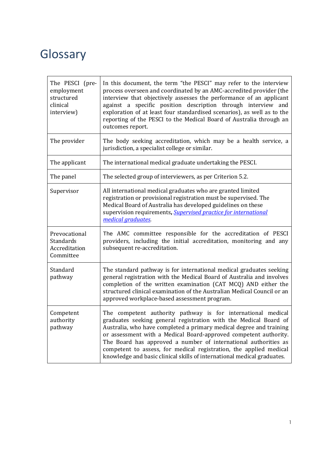## <span id="page-2-0"></span>**Glossary**

| The PESCI (pre-<br>employment<br>structured<br>clinical<br>interview) | In this document, the term "the PESCI" may refer to the interview<br>process overseen and coordinated by an AMC-accredited provider (the<br>interview that objectively assesses the performance of an applicant<br>against a specific position description through interview and<br>exploration of at least four standardised scenarios), as well as to the<br>reporting of the PESCI to the Medical Board of Australia through an<br>outcomes report.                                          |
|-----------------------------------------------------------------------|-------------------------------------------------------------------------------------------------------------------------------------------------------------------------------------------------------------------------------------------------------------------------------------------------------------------------------------------------------------------------------------------------------------------------------------------------------------------------------------------------|
| The provider                                                          | The body seeking accreditation, which may be a health service, a<br>jurisdiction, a specialist college or similar.                                                                                                                                                                                                                                                                                                                                                                              |
| The applicant                                                         | The international medical graduate undertaking the PESCI.                                                                                                                                                                                                                                                                                                                                                                                                                                       |
| The panel                                                             | The selected group of interviewers, as per Criterion 5.2.                                                                                                                                                                                                                                                                                                                                                                                                                                       |
| Supervisor                                                            | All international medical graduates who are granted limited<br>registration or provisional registration must be supervised. The<br>Medical Board of Australia has developed guidelines on these<br>supervision requirements, Supervised practice for international<br>medical graduates.                                                                                                                                                                                                        |
| Prevocational<br><b>Standards</b><br>Accreditation<br>Committee       | The AMC committee responsible for the accreditation of PESCI<br>providers, including the initial accreditation, monitoring and any<br>subsequent re-accreditation.                                                                                                                                                                                                                                                                                                                              |
| Standard<br>pathway                                                   | The standard pathway is for international medical graduates seeking<br>general registration with the Medical Board of Australia and involves<br>completion of the written examination (CAT MCQ) AND either the<br>structured clinical examination of the Australian Medical Council or an<br>approved workplace-based assessment program.                                                                                                                                                       |
| Competent<br>authority<br>pathway                                     | The competent authority pathway is for international medical<br>graduates seeking general registration with the Medical Board of<br>Australia, who have completed a primary medical degree and training<br>or assessment with a Medical Board-approved competent authority.<br>The Board has approved a number of international authorities as<br>competent to assess, for medical registration, the applied medical<br>knowledge and basic clinical skills of international medical graduates. |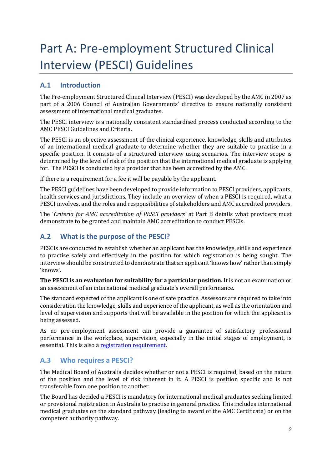# <span id="page-3-0"></span>Part A: Pre-employment Structured Clinical Interview (PESCI) Guidelines

## <span id="page-3-1"></span>**A.1 Introduction**

The Pre-employment Structured Clinical Interview (PESCI) was developed by the AMC in 2007 as part of a 2006 Council of Australian Governments' directive to ensure nationally consistent assessment of international medical graduates.

The PESCI interview is a nationally consistent standardised process conducted according to the AMC PESCI Guidelines and Criteria.

The PESCI is an objective assessment of the clinical experience, knowledge, skills and attributes of an international medical graduate to determine whether they are suitable to practise in a specific position. It consists of a structured interview using scenarios. The interview scope is determined by the level of risk of the position that the international medical graduate is applying for. The PESCI is conducted by a provider that has been accredited by the AMC.

If there is a requirement for a fee it will be payable by the applicant.

The PESCI guidelines have been developed to provide information to PESCI providers, applicants, health services and jurisdictions. They include an overview of when a PESCI is required, what a PESCI involves, and the roles and responsibilities of stakeholders and AMC accredited providers.

The '*Criteria for AMC accreditation of PESCI providers'* at Part B details what providers must demonstrate to be granted and maintain AMC accreditation to conduct PESCIs.

## <span id="page-3-2"></span>**A.2 What is the purpose of the PESCI?**

PESCIs are conducted to establish whether an applicant has the knowledge, skills and experience to practise safely and effectively in the position for which registration is being sought. The interview should be constructed to demonstrate that an applicant 'knows how' rather than simply 'knows'.

**The PESCI is an evaluation for suitability for a particular position.** It is not an examination or an assessment of an international medical graduate's overall performance.

The standard expected of the applicant is one of safe practice. Assessors are required to take into consideration the knowledge, skills and experience of the applicant, as well as the orientation and level of supervision and supports that will be available in the position for which the applicant is being assessed.

As no pre-employment assessment can provide a guarantee of satisfactory professional performance in the workplace, supervision, especially in the initial stages of employment, is essential. This is also a [registration requirement.](http://www.ahpra.gov.au/Registration/Registration-Process.aspx)

## <span id="page-3-3"></span>**A.3 Who requires a PESCI?**

The Medical Board of Australia decides whether or not a PESCI is required, based on the nature of the position and the level of risk inherent in it. A PESCI is position specific and is not transferable from one position to another.

The Board has decided a PESCI is mandatory for international medical graduates seeking limited or provisional registration in Australia to practise in general practice. This includes international medical graduates on the standard pathway (leading to award of the AMC Certificate) or on the competent authority pathway.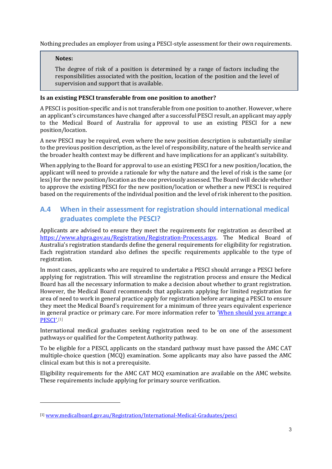Nothing precludes an employer from using a PESCI-style assessment for their own requirements.

#### **Notes:**

<u>.</u>

The degree of risk of a position is determined by a range of factors including the responsibilities associated with the position, location of the position and the level of supervision and support that is available.

#### **Is an existing PESCI transferable from one position to another?**

A PESCI is position-specific and is not transferable from one position to another. However, where an applicant's circumstances have changed after a successful PESCI result, an applicant may apply to the Medical Board of Australia for approval to use an existing PESCI for a new position/location.

A new PESCI may be required, even where the new position description is substantially similar to the previous position description, as the level of responsibility, nature of the health service and the broader health context may be different and have implications for an applicant's suitability.

When applying to the Board for approval to use an existing PESCI for a new position/location, the applicant will need to provide a rationale for why the nature and the level of risk is the same (or less) for the new position/location as the one previously assessed. The Board will decide whether to approve the existing PESCI for the new position/location or whether a new PESCI is required based on the requirements of the individual position and the level of risk inherent to the position.

## <span id="page-4-0"></span>**A.4 When in their assessment for registration should international medical graduates complete the PESCI?**

Applicants are advised to ensure they meet the requirements for registration as described at [https://www.ahpra.gov.au/Registration/Registration-Process.aspx.](https://www.ahpra.gov.au/Registration/Registration-Process.aspx) The Medical Board of Australia's registration standards define the general requirements for eligibility for registration. Each registration standard also defines the specific requirements applicable to the type of registration.

In most cases, applicants who are required to undertake a PESCI should arrange a PESCI before applying for registration. This will streamline the registration process and ensure the Medical Board has all the necessary information to make a decision about whether to grant registration. However, the Medical Board recommends that applicants applying for limited registration for area of need to work in general practice apply for registration before arranging a PESCI to ensure they meet the Medical Board's requirement for a minimum of three years equivalent experience in general practice or primary care. For more information refer to 'When should you arrange a **PESCI'.**[1]

International medical graduates seeking registration need to be on one of the assessment pathways or qualified for the Competent Authority pathway.

To be eligible for a PESCI, applicants on the standard pathway must have passed the AMC CAT multiple-choice question (MCQ) examination. Some applicants may also have passed the AMC clinical exam but this is not a prerequisite.

Eligibility requirements for the AMC CAT MCQ examination are available on the AMC website. These requirements include applying for primary source verification.

<sup>[1]</sup> [www.medicalboard.gov.au/Registration/International-Medical-Graduates/pesci](https://protect-au.mimecast.com/s/uKb9CmO5R8C1V8yiDgflJ?domain=medicalboard.gov.au)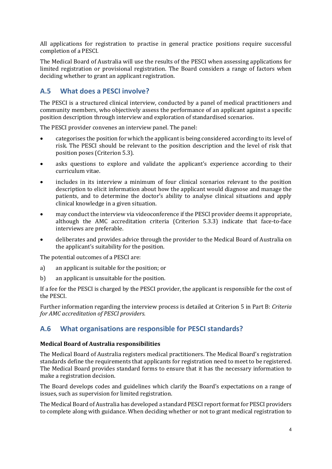All applications for registration to practise in general practice positions require successful completion of a PESCI.

The Medical Board of Australia will use the results of the PESCI when assessing applications for limited registration or provisional registration. The Board considers a range of factors when deciding whether to grant an applicant registration.

## <span id="page-5-0"></span>**A.5 What does a PESCI involve?**

The PESCI is a structured clinical interview, conducted by a panel of medical practitioners and community members, who objectively assess the performance of an applicant against a specific position description through interview and exploration of standardised scenarios.

The PESCI provider convenes an interview panel. The panel:

- categorises the position for which the applicant is being considered according to its level of risk. The PESCI should be relevant to the position description and the level of risk that position poses (Criterion 5.3).
- asks questions to explore and validate the applicant's experience according to their curriculum vitae.
- includes in its interview a minimum of four clinical scenarios relevant to the position description to elicit information about how the applicant would diagnose and manage the patients, and to determine the doctor's ability to analyse clinical situations and apply clinical knowledge in a given situation.
- may conduct the interview via videoconference if the PESCI provider deems it appropriate, although the AMC accreditation criteria (Criterion 5.3.3) indicate that face-to-face interviews are preferable.
- deliberates and provides advice through the provider to the Medical Board of Australia on the applicant's suitability for the position.

The potential outcomes of a PESCI are:

- a) an applicant is suitable for the position; or
- b) an applicant is unsuitable for the position.

If a fee for the PESCI is charged by the PESCI provider, the applicant is responsible for the cost of the PESCI.

Further information regarding the interview process is detailed at Criterion 5 in Part B: *Criteria for AMC accreditation of PESCI providers.*

## <span id="page-5-1"></span>**A.6 What organisations are responsible for PESCI standards?**

#### **Medical Board of Australia responsibilities**

The Medical Board of Australia registers medical practitioners. The Medical Board's registration standards define the requirements that applicants for registration need to meet to be registered. The Medical Board provides standard forms to ensure that it has the necessary information to make a registration decision.

The Board develops codes and guidelines which clarify the Board's expectations on a range of issues, such as supervision for limited registration.

The Medical Board of Australia has developed a standard PESCI report format for PESCI providers to complete along with guidance. When deciding whether or not to grant medical registration to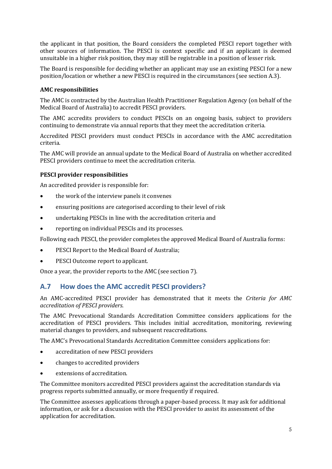the applicant in that position, the Board considers the completed PESCI report together with other sources of information. The PESCI is context specific and if an applicant is deemed unsuitable in a higher risk position, they may still be registrable in a position of lesser risk.

The Board is responsible for deciding whether an applicant may use an existing PESCI for a new position/location or whether a new PESCI is required in the circumstances (see section A.3).

#### **AMC responsibilities**

The AMC is contracted by the Australian Health Practitioner Regulation Agency (on behalf of the Medical Board of Australia) to accredit PESCI providers.

The AMC accredits providers to conduct PESCIs on an ongoing basis, subject to providers continuing to demonstrate via annual reports that they meet the accreditation criteria.

Accredited PESCI providers must conduct PESCIs in accordance with the AMC accreditation criteria.

The AMC will provide an annual update to the Medical Board of Australia on whether accredited PESCI providers continue to meet the accreditation criteria.

#### **PESCI provider responsibilities**

An accredited provider is responsible for:

- the work of the interview panels it convenes
- ensuring positions are categorised according to their level of risk
- undertaking PESCIs in line with the accreditation criteria and
- reporting on individual PESCIs and its processes.

Following each PESCI, the provider completes the approved Medical Board of Australia forms:

- PESCI Report to the Medical Board of Australia;
- PESCI Outcome report to applicant.

Once a year, the provider reports to the AMC (see section 7).

## <span id="page-6-0"></span>**A.7 How does the AMC accredit PESCI providers?**

An AMC-accredited PESCI provider has demonstrated that it meets the *Criteria for AMC accreditation of PESCI providers*.

The AMC Prevocational Standards Accreditation Committee considers applications for the accreditation of PESCI providers. This includes initial accreditation, monitoring, reviewing material changes to providers, and subsequent reaccreditations.

The AMC's Prevocational Standards Accreditation Committee considers applications for:

- accreditation of new PESCI providers
- changes to accredited providers
- extensions of accreditation.

The Committee monitors accredited PESCI providers against the accreditation standards via progress reports submitted annually, or more frequently if required.

The Committee assesses applications through a paper-based process. It may ask for additional information, or ask for a discussion with the PESCI provider to assist its assessment of the application for accreditation.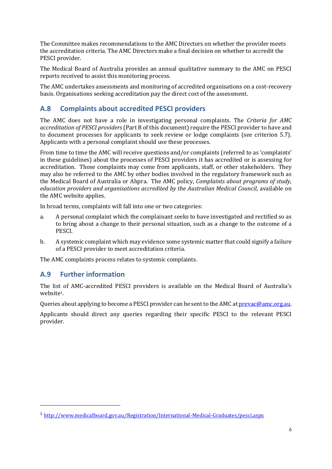The Committee makes recommendations to the AMC Directors on whether the provider meets the accreditation criteria. The AMC Directors make a final decision on whether to accredit the PESCI provider.

The Medical Board of Australia provides an annual qualitative summary to the AMC on PESCI reports received to assist this monitoring process.

The AMC undertakes assessments and monitoring of accredited organisations on a cost-recovery basis. Organisations seeking accreditation pay the direct cost of the assessment.

## <span id="page-7-0"></span>**A.8 Complaints about accredited PESCI providers**

The AMC does not have a role in investigating personal complaints. The *Criteria for AMC accreditation of PESCI providers* (Part B of this document) require the PESCI provider to have and to document processes for applicants to seek review or lodge complaints (see criterion 5.7). Applicants with a personal complaint should use these processes.

From time to time the AMC will receive questions and/or complaints (referred to as 'complaints' in these guidelines) about the processes of PESCI providers it has accredited or is assessing for accreditation. Those complaints may come from applicants, staff, or other stakeholders. They may also be referred to the AMC by other bodies involved in the regulatory framework such as the Medical Board of Australia or Ahpra. The AMC policy, *Complaints about programs of study, education providers and organisations accredited by the Australian Medical Council*, available on the AMC website applies.

In broad terms, complaints will fall into one or two categories:

- a. A personal complaint which the complainant seeks to have investigated and rectified so as to bring about a change to their personal situation, such as a change to the outcome of a PESCI.
- b. A systemic complaint which may evidence some systemic matter that could signify a failure of a PESCI provider to meet accreditation criteria.

The AMC complaints process relates to systemic complaints.

## <span id="page-7-1"></span>**A.9 Further information**

-

The list of AMC-accredited PESCI providers is available on the Medical Board of Australia's website1.

Queries about applying to become a PESCI provider can be sent to the AMC at  $prevac@amc.org.au$ .

Applicants should direct any queries regarding their specific PESCI to the relevant PESCI provider.

<sup>1</sup> <http://www.medicalboard.gov.au/Registration/International-Medical-Graduates/pesci.aspx>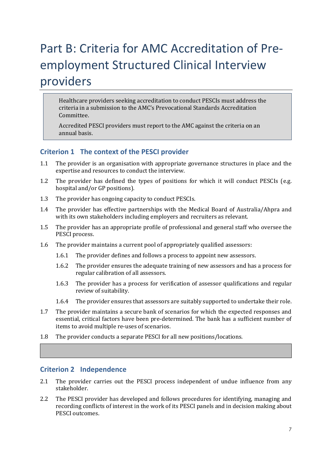# <span id="page-8-0"></span>Part B: Criteria for AMC Accreditation of Preemployment Structured Clinical Interview providers

Healthcare providers seeking accreditation to conduct PESCIs must address the criteria in a submission to the AMC's Prevocational Standards Accreditation Committee.

Accredited PESCI providers must report to the AMC against the criteria on an annual basis.

## <span id="page-8-1"></span>**Criterion 1 The context of the PESCI provider**

- 1.1 The provider is an organisation with appropriate governance structures in place and the expertise and resources to conduct the interview.
- 1.2 The provider has defined the types of positions for which it will conduct PESCIs (e.g. hospital and/or GP positions).
- 1.3 The provider has ongoing capacity to conduct PESCIs.
- 1.4 The provider has effective partnerships with the Medical Board of Australia/Ahpra and with its own stakeholders including employers and recruiters as relevant.
- 1.5 The provider has an appropriate profile of professional and general staff who oversee the PESCI process.
- 1.6 The provider maintains a current pool of appropriately qualified assessors:
	- 1.6.1 The provider defines and follows a process to appoint new assessors.
	- 1.6.2 The provider ensures the adequate training of new assessors and has a process for regular calibration of all assessors.
	- 1.6.3 The provider has a process for verification of assessor qualifications and regular review of suitability.
	- 1.6.4 The provider ensures that assessors are suitably supported to undertake their role.
- 1.7 The provider maintains a secure bank of scenarios for which the expected responses and essential, critical factors have been pre-determined. The bank has a sufficient number of items to avoid multiple re-uses of scenarios.
- 1.8 The provider conducts a separate PESCI for all new positions/locations.

#### <span id="page-8-2"></span>**Criterion 2 Independence**

- 2.1 The provider carries out the PESCI process independent of undue influence from any stakeholder.
- 2.2 The PESCI provider has developed and follows procedures for identifying, managing and recording conflicts of interest in the work of its PESCI panels and in decision making about PESCI outcomes.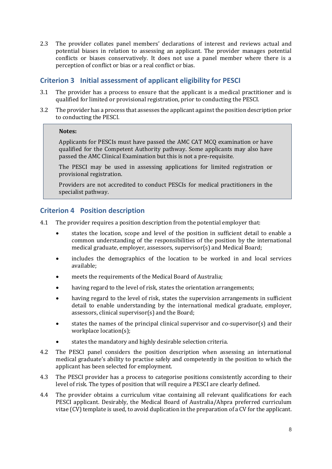2.3 The provider collates panel members' declarations of interest and reviews actual and potential biases in relation to assessing an applicant. The provider manages potential conflicts or biases conservatively. It does not use a panel member where there is a perception of conflict or bias or a real conflict or bias.

## <span id="page-9-0"></span>**Criterion 3 Initial assessment of applicant eligibility for PESCI**

- 3.1 The provider has a process to ensure that the applicant is a medical practitioner and is qualified for limited or provisional registration, prior to conducting the PESCI.
- 3.2 The provider has a process that assesses the applicant against the position description prior to conducting the PESCI.

#### **Notes:**

Applicants for PESCIs must have passed the AMC CAT MCQ examination or have qualified for the Competent Authority pathway. Some applicants may also have passed the AMC Clinical Examination but this is not a pre-requisite.

The PESCI may be used in assessing applications for limited registration or provisional registration.

Providers are not accredited to conduct PESCIs for medical practitioners in the specialist pathway.

## <span id="page-9-1"></span>**Criterion 4 Position description**

- 4.1 The provider requires a position description from the potential employer that:
	- states the location, scope and level of the position in sufficient detail to enable a common understanding of the responsibilities of the position by the international medical graduate, employer, assessors, supervisor(s) and Medical Board;
	- includes the demographics of the location to be worked in and local services available;
	- meets the requirements of the Medical Board of Australia;
	- having regard to the level of risk, states the orientation arrangements;
	- having regard to the level of risk, states the supervision arrangements in sufficient detail to enable understanding by the international medical graduate, employer, assessors, clinical supervisor(s) and the Board;
	- states the names of the principal clinical supervisor and co-supervisor $(s)$  and their workplace location(s);
	- states the mandatory and highly desirable selection criteria.
- 4.2 The PESCI panel considers the position description when assessing an international medical graduate's ability to practise safely and competently in the position to which the applicant has been selected for employment.
- 4.3 The PESCI provider has a process to categorise positions consistently according to their level of risk. The types of position that will require a PESCI are clearly defined.
- 4.4 The provider obtains a curriculum vitae containing all relevant qualifications for each PESCI applicant. Desirably, the Medical Board of Australia/Ahpra preferred curriculum vitae (CV) template is used, to avoid duplication in the preparation of a CV for the applicant.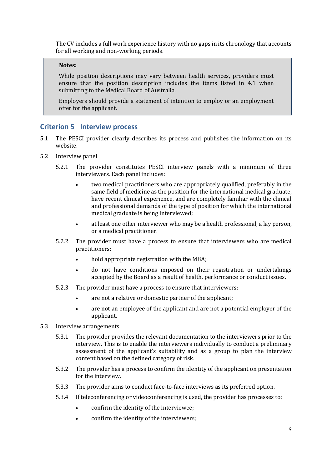The CV includes a full work experience history with no gaps in its chronology that accounts for all working and non-working periods.

#### **Notes:**

While position descriptions may vary between health services, providers must ensure that the position description includes the items listed in 4.1 when submitting to the Medical Board of Australia.

Employers should provide a statement of intention to employ or an employment offer for the applicant.

#### <span id="page-10-0"></span>**Criterion 5 Interview process**

- 5.1 The PESCI provider clearly describes its process and publishes the information on its website.
- 5.2 Interview panel
	- 5.2.1 The provider constitutes PESCI interview panels with a minimum of three interviewers. Each panel includes:
		- two medical practitioners who are appropriately qualified, preferably in the same field of medicine as the position for the international medical graduate, have recent clinical experience, and are completely familiar with the clinical and professional demands of the type of position for which the international medical graduate is being interviewed;
		- at least one other interviewer who may be a health professional, a lay person, or a medical practitioner.
	- 5.2.2 The provider must have a process to ensure that interviewers who are medical practitioners:
		- hold appropriate registration with the MBA;
		- do not have conditions imposed on their registration or undertakings accepted by the Board as a result of health, performance or conduct issues.
	- 5.2.3 The provider must have a process to ensure that interviewers:
		- are not a relative or domestic partner of the applicant;
		- are not an employee of the applicant and are not a potential employer of the applicant.
- 5.3 Interview arrangements
	- 5.3.1 The provider provides the relevant documentation to the interviewers prior to the interview. This is to enable the interviewers individually to conduct a preliminary assessment of the applicant's suitability and as a group to plan the interview content based on the defined category of risk.
	- 5.3.2 The provider has a process to confirm the identity of the applicant on presentation for the interview.
	- 5.3.3 The provider aims to conduct face-to-face interviews as its preferred option.
	- 5.3.4 If teleconferencing or videoconferencing is used, the provider has processes to:
		- confirm the identity of the interviewee;
		- confirm the identity of the interviewers;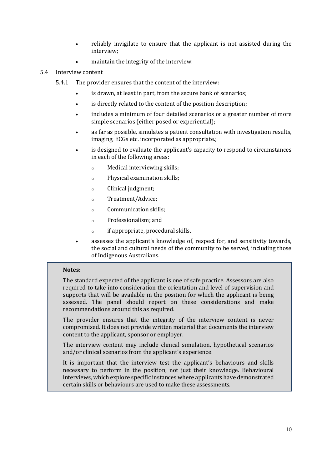- reliably invigilate to ensure that the applicant is not assisted during the interview;
- maintain the integrity of the interview.

#### 5.4 Interview content

- 5.4.1 The provider ensures that the content of the interview:
	- is drawn, at least in part, from the secure bank of scenarios;
	- is directly related to the content of the position description;
	- includes a minimum of four detailed scenarios or a greater number of more simple scenarios (either posed or experiential);
	- as far as possible, simulates a patient consultation with investigation results, imaging, ECGs etc. incorporated as appropriate.;
	- is designed to evaluate the applicant's capacity to respond to circumstances in each of the following areas:
		- o Medical interviewing skills;
		- o Physical examination skills;
		- o Clinical judgment;
		- o Treatment/Advice;
		- o Communication skills;
		- o Professionalism; and
		- o if appropriate, procedural skills.
	- assesses the applicant's knowledge of, respect for, and sensitivity towards, the social and cultural needs of the community to be served, including those of Indigenous Australians.

#### **Notes:**

The standard expected of the applicant is one of safe practice. Assessors are also required to take into consideration the orientation and level of supervision and supports that will be available in the position for which the applicant is being assessed. The panel should report on these considerations and make recommendations around this as required.

The provider ensures that the integrity of the interview content is never compromised. It does not provide written material that documents the interview content to the applicant, sponsor or employer.

The interview content may include clinical simulation, hypothetical scenarios and/or clinical scenarios from the applicant's experience.

It is important that the interview test the applicant's behaviours and skills necessary to perform in the position, not just their knowledge. Behavioural interviews, which explore specific instances where applicants have demonstrated certain skills or behaviours are used to make these assessments.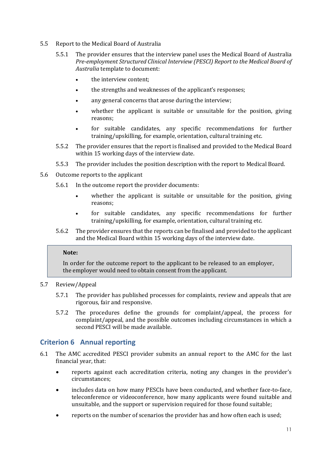- 5.5 Report to the Medical Board of Australia
	- 5.5.1 The provider ensures that the interview panel uses the Medical Board of Australia *Pre-employment Structured Clinical Interview (PESCI) Report to the Medical Board of Australia* template to document:
		- the interview content:
		- the strengths and weaknesses of the applicant's responses;
		- any general concerns that arose during the interview;
		- whether the applicant is suitable or unsuitable for the position, giving reasons;
		- for suitable candidates, any specific recommendations for further training/upskilling, for example, orientation, cultural training etc.
	- 5.5.2 The provider ensures that the report is finalised and provided to the Medical Board within 15 working days of the interview date.
	- 5.5.3 The provider includes the position description with the report to Medical Board.
- 5.6 Outcome reports to the applicant
	- 5.6.1 In the outcome report the provider documents:
		- whether the applicant is suitable or unsuitable for the position, giving reasons;
		- for suitable candidates, any specific recommendations for further training/upskilling, for example, orientation, cultural training etc.
	- 5.6.2 The provider ensures that the reports can be finalised and provided to the applicant and the Medical Board within 15 working days of the interview date.

#### **Note:**

In order for the outcome report to the applicant to be released to an employer, the employer would need to obtain consent from the applicant.

#### 5.7 Review/Appeal

- 5.7.1 The provider has published processes for complaints, review and appeals that are rigorous, fair and responsive.
- 5.7.2 The procedures define the grounds for complaint/appeal, the process for complaint/appeal, and the possible outcomes including circumstances in which a second PESCI will be made available.

#### <span id="page-12-0"></span>**Criterion 6 Annual reporting**

- 6.1 The AMC accredited PESCI provider submits an annual report to the AMC for the last financial year, that:
	- reports against each accreditation criteria, noting any changes in the provider's circumstances;
	- includes data on how many PESCIs have been conducted, and whether face-to-face, teleconference or videoconference, how many applicants were found suitable and unsuitable, and the support or supervision required for those found suitable;
	- reports on the number of scenarios the provider has and how often each is used;